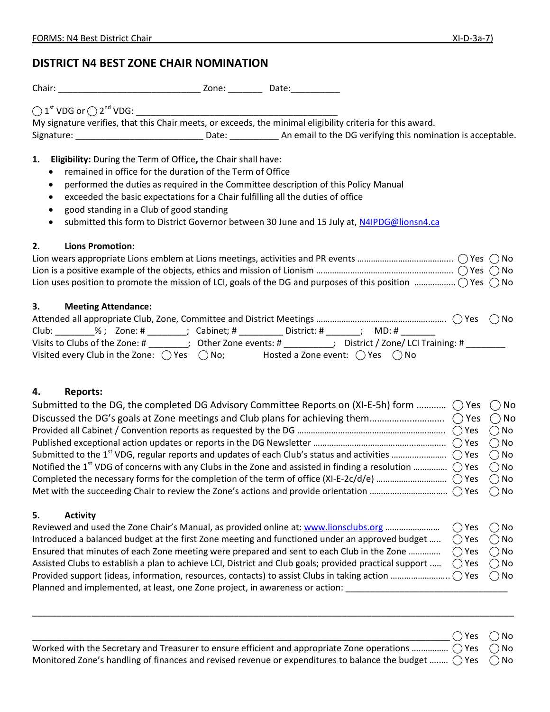$\bigcirc$  Yes  $\bigcirc$  No

# **DISTRICT N4 BEST ZONE CHAIR NOMINATION**

Chair: \_\_\_\_\_\_\_\_\_\_\_\_\_\_\_\_\_\_\_\_\_\_\_\_\_\_\_\_\_ Zone: \_\_\_\_\_\_\_ Date:\_\_\_\_\_\_\_\_\_\_

⃝ 1 st VDG or ⃝ 2 nd VDG: \_\_\_\_\_\_\_\_\_\_\_\_\_\_\_\_\_\_\_\_\_\_\_\_\_\_\_\_\_\_\_\_\_\_\_\_\_\_\_\_\_

My signature verifies, that this Chair meets, or exceeds, the minimal eligibility criteria for this award. Signature: \_\_\_\_\_\_\_\_\_\_\_\_\_\_\_\_\_\_\_\_\_\_\_\_\_\_\_\_\_\_\_\_\_\_Date: \_\_\_\_\_\_\_\_\_\_\_\_\_\_\_\_\_\_\_\_\_\_\_\_\_\_\_\_\_ An email to the DG verifying this nomination is acceptable.

## **1. Eligibility:** During the Term of Office**,** the Chair shall have:

- remained in office for the duration of the Term of Office
- performed the duties as required in the Committee description of this Policy Manual
- exceeded the basic expectations for a Chair fulfilling all the duties of office
- good standing in a Club of good standing
- submitted this form to District Governor between 30 June and 15 July at, [N4IPDG@lionsn4.ca](mailto:N4IPDG@lionsn4.ca)

### **2. Lions Promotion:**

| Lion uses position to promote the mission of LCI, goals of the DG and purposes of this position $\ldots$ $\ldots$ $\ldots$ $\ldots$ $\ldots$ $\ldots$ $\ldots$ $\ldots$ $\ldots$ $\ldots$ |  |
|-------------------------------------------------------------------------------------------------------------------------------------------------------------------------------------------|--|

# **3. Meeting Attendance:**

| Club:                                                         | ; Cabinet; #<br>District: #<br>MD: #                            |  |
|---------------------------------------------------------------|-----------------------------------------------------------------|--|
| Visits to Clubs of the Zone: #                                | ; District / Zone/ LCI Training: $\#$<br>; Other Zone events: # |  |
| Visited every Club in the Zone: $\bigcirc$ Yes $\bigcirc$ No; | Hosted a Zone event: $\bigcirc$ Yes $\bigcirc$ No               |  |

# **4. Reports:**

| Submitted to the DG, the completed DG Advisory Committee Reports on (XI-E-5h) form $\bigcirc$ Yes $\bigcirc$ No                           |  |
|-------------------------------------------------------------------------------------------------------------------------------------------|--|
|                                                                                                                                           |  |
|                                                                                                                                           |  |
|                                                                                                                                           |  |
|                                                                                                                                           |  |
| Notified the 1 <sup>st</sup> VDG of concerns with any Clubs in the Zone and assisted in finding a resolution $\bigcirc$ Yes $\bigcirc$ No |  |
|                                                                                                                                           |  |
|                                                                                                                                           |  |

### **5. Activity**

| Reviewed and used the Zone Chair's Manual, as provided online at: www.lionsclubs.org                                                | $\bigcap$ Yes $\bigcap$ No |  |
|-------------------------------------------------------------------------------------------------------------------------------------|----------------------------|--|
| Introduced a balanced budget at the first Zone meeting and functioned under an approved budget                                      | $\bigcap$ Yes $\bigcap$ No |  |
| Ensured that minutes of each Zone meeting were prepared and sent to each Club in the Zone                                           | $\bigcap$ Yes $\bigcap$ No |  |
| Assisted Clubs to establish a plan to achieve LCI, District and Club goals; provided practical support $\bigcirc$ Yes $\bigcirc$ No |                            |  |
|                                                                                                                                     |                            |  |
| Planned and implemented, at least, one Zone project, in awareness or action:                                                        |                            |  |

\_\_\_\_\_\_\_\_\_\_\_\_\_\_\_\_\_\_\_\_\_\_\_\_\_\_\_\_\_\_\_\_\_\_\_\_\_\_\_\_\_\_\_\_\_\_\_\_\_\_\_\_\_\_\_\_\_\_\_\_\_\_\_\_\_\_\_\_\_\_\_\_\_\_\_\_\_\_\_\_\_\_\_\_\_\_\_\_\_\_\_\_\_\_\_\_\_\_

Worked with the Secretary and Treasurer to ensure efficient and appropriate Zone operations ……………  $\bigcirc$  Yes  $\bigcirc$  No Monitored Zone's handling of finances and revised revenue or expenditures to balance the budget ….....  $\bigcirc$  Yes  $\bigcirc$  No